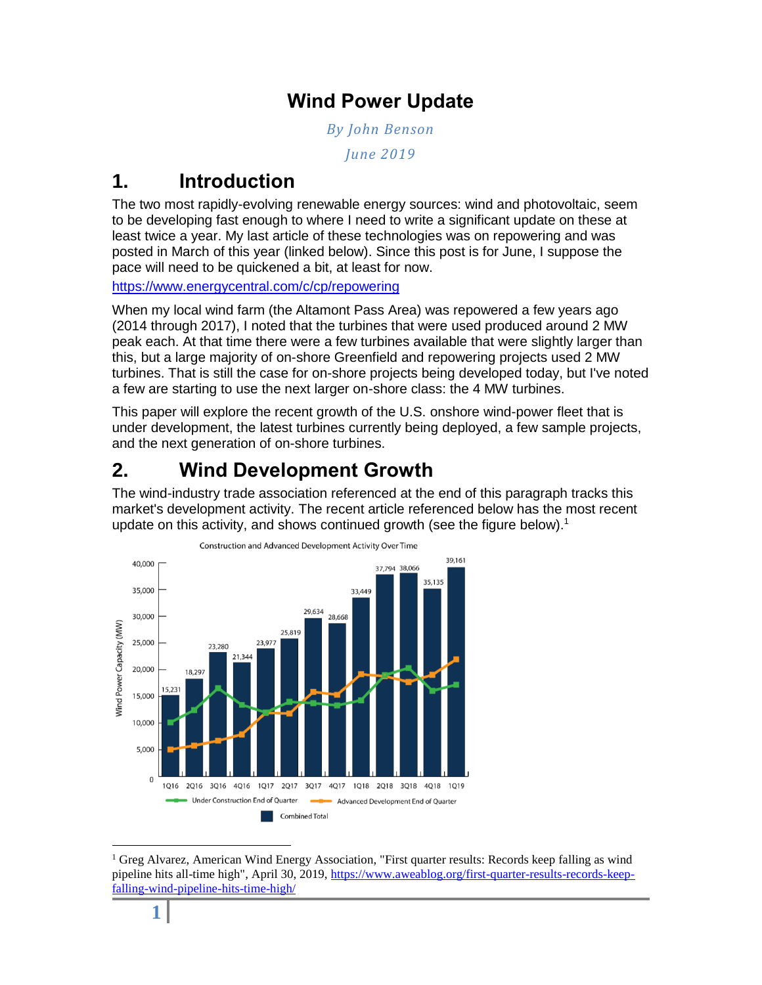### **Wind Power Update**

*By John Benson*

*June 2019*

### **1. Introduction**

The two most rapidly-evolving renewable energy sources: wind and photovoltaic, seem to be developing fast enough to where I need to write a significant update on these at least twice a year. My last article of these technologies was on repowering and was posted in March of this year (linked below). Since this post is for June, I suppose the pace will need to be quickened a bit, at least for now.

<https://www.energycentral.com/c/cp/repowering>

When my local wind farm (the Altamont Pass Area) was repowered a few years ago (2014 through 2017), I noted that the turbines that were used produced around 2 MW peak each. At that time there were a few turbines available that were slightly larger than this, but a large majority of on-shore Greenfield and repowering projects used 2 MW turbines. That is still the case for on-shore projects being developed today, but I've noted a few are starting to use the next larger on-shore class: the 4 MW turbines.

This paper will explore the recent growth of the U.S. onshore wind-power fleet that is under development, the latest turbines currently being deployed, a few sample projects, and the next generation of on-shore turbines.

# **2. Wind Development Growth**

The wind-industry trade association referenced at the end of this paragraph tracks this market's development activity. The recent article referenced below has the most recent update on this activity, and shows continued growth (see the figure below).<sup>1</sup>



 $\overline{a}$ <sup>1</sup> Greg Alvarez, American Wind Energy Association, "First quarter results: Records keep falling as wind pipeline hits all-time high", April 30, 2019[, https://www.aweablog.org/first-quarter-results-records-keep](https://www.aweablog.org/first-quarter-results-records-keep-falling-wind-pipeline-hits-time-high/)[falling-wind-pipeline-hits-time-high/](https://www.aweablog.org/first-quarter-results-records-keep-falling-wind-pipeline-hits-time-high/)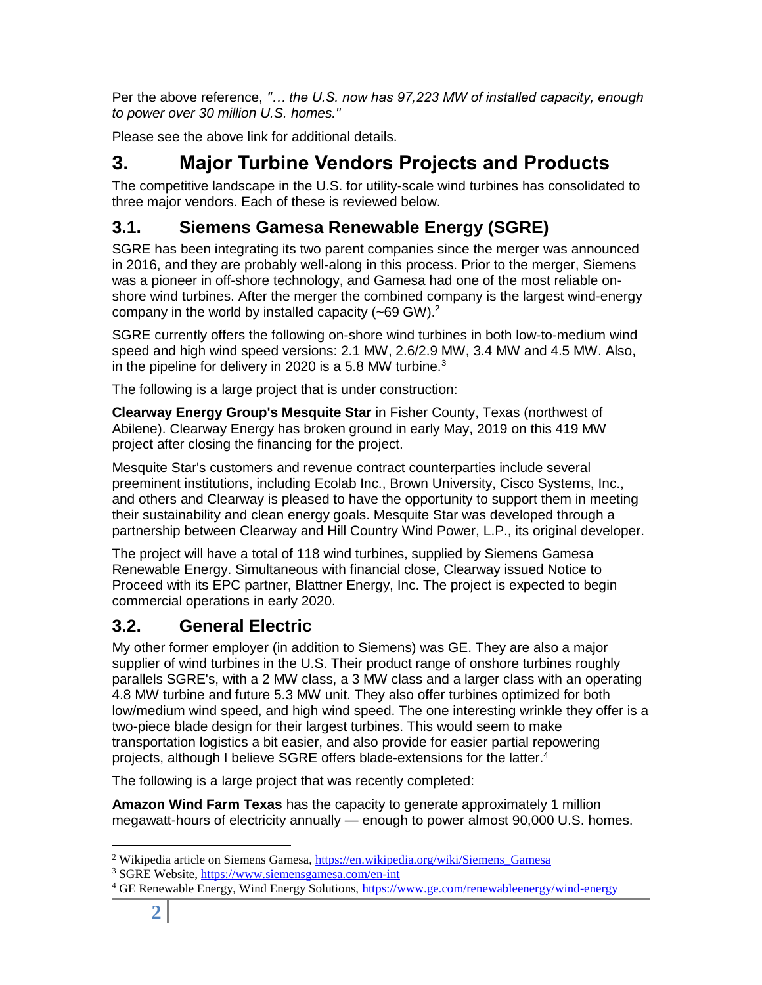Per the above reference, *"… the U.S. now has 97,223 MW of installed capacity, enough to power over 30 million U.S. homes."*

Please see the above link for additional details.

### **3. Major Turbine Vendors Projects and Products**

The competitive landscape in the U.S. for utility-scale wind turbines has consolidated to three major vendors. Each of these is reviewed below.

#### **3.1. Siemens Gamesa Renewable Energy (SGRE)**

SGRE has been integrating its two parent companies since the merger was announced in 2016, and they are probably well-along in this process. Prior to the merger, Siemens was a pioneer in off-shore technology, and Gamesa had one of the most reliable onshore wind turbines. After the merger the combined company is the largest wind-energy company in the world by installed capacity  $(-69 \text{ GW})$ .<sup>2</sup>

SGRE currently offers the following on-shore wind turbines in both low-to-medium wind speed and high wind speed versions: 2.1 MW, 2.6/2.9 MW, 3.4 MW and 4.5 MW. Also, in the pipeline for delivery in 2020 is a 5.8 MW turbine. $3$ 

The following is a large project that is under construction:

**Clearway Energy Group's Mesquite Star** in Fisher County, Texas (northwest of Abilene). Clearway Energy has broken ground in early May, 2019 on this 419 MW project after closing the financing for the project.

Mesquite Star's customers and revenue contract counterparties include several preeminent institutions, including Ecolab Inc., Brown University, Cisco Systems, Inc., and others and Clearway is pleased to have the opportunity to support them in meeting their sustainability and clean energy goals. Mesquite Star was developed through a partnership between Clearway and Hill Country Wind Power, L.P., its original developer.

The project will have a total of 118 wind turbines, supplied by Siemens Gamesa Renewable Energy. Simultaneous with financial close, Clearway issued Notice to Proceed with its EPC partner, Blattner Energy, Inc. The project is expected to begin commercial operations in early 2020.

#### **3.2. General Electric**

My other former employer (in addition to Siemens) was GE. They are also a major supplier of wind turbines in the U.S. Their product range of onshore turbines roughly parallels SGRE's, with a 2 MW class, a 3 MW class and a larger class with an operating 4.8 MW turbine and future 5.3 MW unit. They also offer turbines optimized for both low/medium wind speed, and high wind speed. The one interesting wrinkle they offer is a two-piece blade design for their largest turbines. This would seem to make transportation logistics a bit easier, and also provide for easier partial repowering projects, although I believe SGRE offers blade-extensions for the latter.<sup>4</sup>

The following is a large project that was recently completed:

**Amazon Wind Farm Texas** has the capacity to generate approximately 1 million megawatt-hours of electricity annually — enough to power almost 90,000 U.S. homes.

 $\overline{a}$ 

<sup>&</sup>lt;sup>2</sup> Wikipedia article on Siemens Gamesa, https://en.wikipedia.org/wiki/Siemens Gamesa

<sup>3</sup> SGRE Website,<https://www.siemensgamesa.com/en-int>

<sup>&</sup>lt;sup>4</sup> GE Renewable Energy, Wind Energy Solutions,<https://www.ge.com/renewableenergy/wind-energy>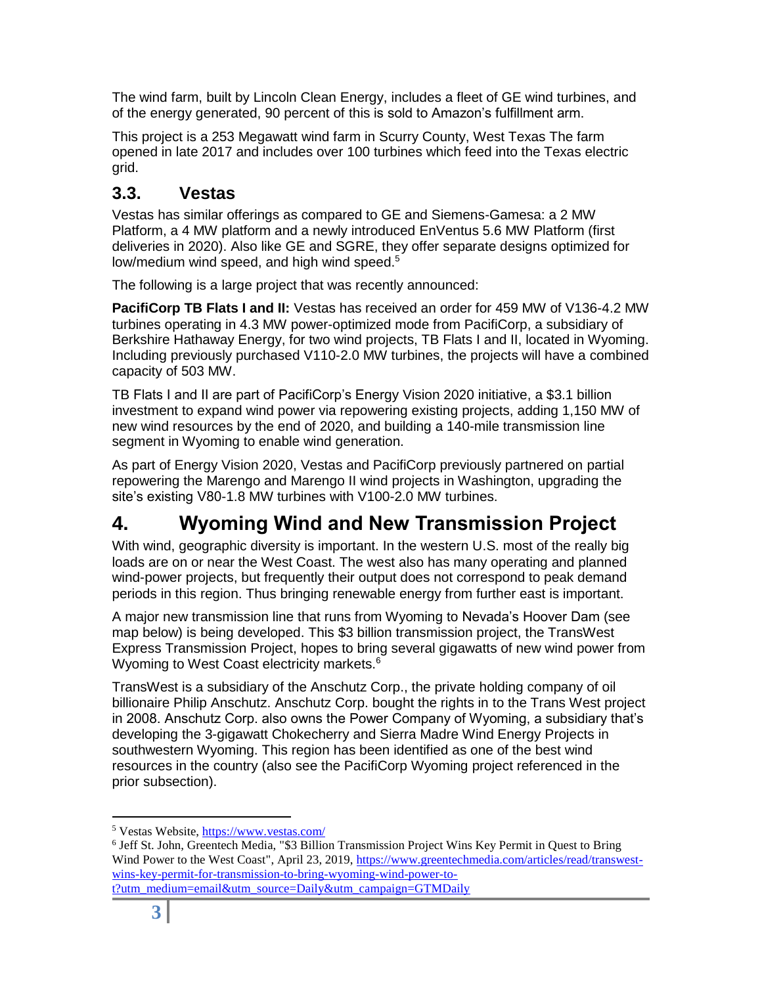The wind farm, built by Lincoln Clean Energy, includes a fleet of GE wind turbines, and of the energy generated, 90 percent of this is sold to Amazon's fulfillment arm.

This project is a 253 Megawatt wind farm in Scurry County, West Texas The farm opened in late 2017 and includes over 100 turbines which feed into the Texas electric grid.

#### **3.3. Vestas**

Vestas has similar offerings as compared to GE and Siemens-Gamesa: a 2 MW Platform, a 4 MW platform and a newly introduced EnVentus 5.6 MW Platform (first deliveries in 2020). Also like GE and SGRE, they offer separate designs optimized for low/medium wind speed, and high wind speed.<sup>5</sup>

The following is a large project that was recently announced:

**PacifiCorp TB Flats I and II:** Vestas has received an order for 459 MW of V136-4.2 MW turbines operating in 4.3 MW power-optimized mode from PacifiCorp, a subsidiary of Berkshire Hathaway Energy, for two wind projects, TB Flats I and II, located in Wyoming. Including previously purchased V110-2.0 MW turbines, the projects will have a combined capacity of 503 MW.

TB Flats I and II are part of PacifiCorp's Energy Vision 2020 initiative, a \$3.1 billion investment to expand wind power via repowering existing projects, adding 1,150 MW of new wind resources by the end of 2020, and building a 140-mile transmission line segment in Wyoming to enable wind generation.

As part of Energy Vision 2020, Vestas and PacifiCorp previously partnered on partial repowering the Marengo and Marengo II wind projects in Washington, upgrading the site's existing V80-1.8 MW turbines with V100-2.0 MW turbines.

# **4. Wyoming Wind and New Transmission Project**

With wind, geographic diversity is important. In the western U.S. most of the really big loads are on or near the West Coast. The west also has many operating and planned wind-power projects, but frequently their output does not correspond to peak demand periods in this region. Thus bringing renewable energy from further east is important.

A major new transmission line that runs from Wyoming to Nevada's Hoover Dam (see map below) is being developed. This \$3 billion transmission project, the TransWest Express Transmission Project, hopes to bring several gigawatts of new wind power from Wyoming to West Coast electricity markets.<sup>6</sup>

TransWest is a subsidiary of the Anschutz Corp., the private holding company of oil billionaire Philip Anschutz. Anschutz Corp. bought the rights in to the Trans West project in 2008. Anschutz Corp. also owns the Power Company of Wyoming, a subsidiary that's developing the 3-gigawatt Chokecherry and Sierra Madre Wind Energy Projects in southwestern Wyoming. This region has been identified as one of the best wind resources in the country (also see the PacifiCorp Wyoming project referenced in the prior subsection).

 $\overline{a}$ <sup>5</sup> Vestas Website[, https://www.vestas.com/](https://www.vestas.com/)

<sup>&</sup>lt;sup>6</sup> Jeff St. John, Greentech Media, "\$3 Billion Transmission Project Wins Key Permit in Quest to Bring Wind Power to the West Coast", April 23, 2019, [https://www.greentechmedia.com/articles/read/transwest](https://www.greentechmedia.com/articles/read/transwest-wins-key-permit-for-transmission-to-bring-wyoming-wind-power-to-t?utm_medium=email&utm_source=Daily&utm_campaign=GTMDaily)[wins-key-permit-for-transmission-to-bring-wyoming-wind-power-to](https://www.greentechmedia.com/articles/read/transwest-wins-key-permit-for-transmission-to-bring-wyoming-wind-power-to-t?utm_medium=email&utm_source=Daily&utm_campaign=GTMDaily)[t?utm\\_medium=email&utm\\_source=Daily&utm\\_campaign=GTMDaily](https://www.greentechmedia.com/articles/read/transwest-wins-key-permit-for-transmission-to-bring-wyoming-wind-power-to-t?utm_medium=email&utm_source=Daily&utm_campaign=GTMDaily)